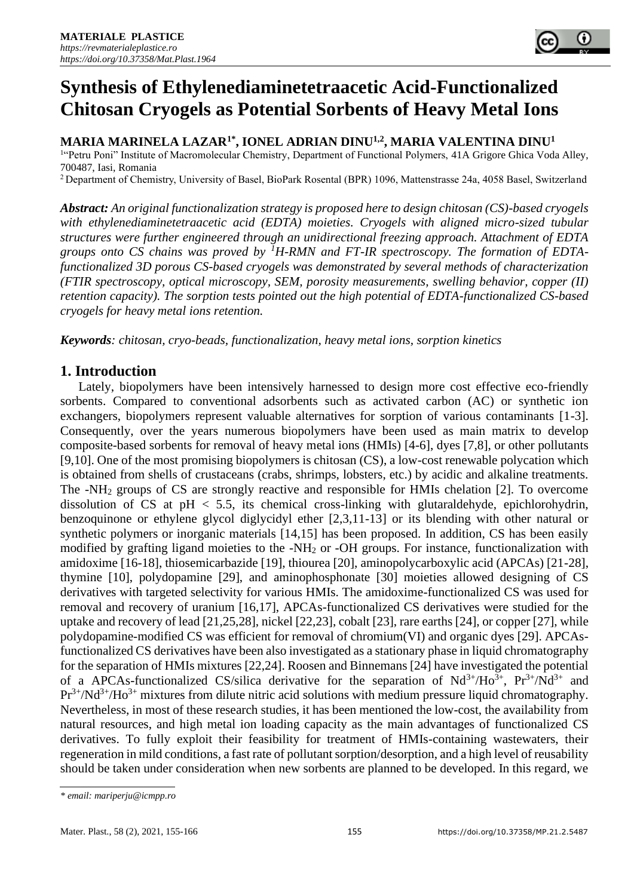**MARIA MARINELA LAZAR1\* , IONEL ADRIAN DINU1,2 , MARIA VALENTINA DINU<sup>1</sup>**

<sup>1</sup>"Petru Poni" Institute of Macromolecular Chemistry, Department of Functional Polymers, 41A Grigore Ghica Voda Alley, 700487, Iasi, Romania

<sup>2</sup>Department of Chemistry, University of Basel, BioPark Rosental (BPR) 1096, Mattenstrasse 24a, 4058 Basel, Switzerland

*Abstract: An original functionalization strategy is proposed here to design chitosan (CS)-based cryogels with ethylenediaminetetraacetic acid (EDTA) moieties. Cryogels with aligned micro-sized tubular structures were further engineered through an unidirectional freezing approach. Attachment of EDTA groups onto CS chains was proved by <sup>1</sup>H-RMN and FT-IR spectroscopy. The formation of EDTAfunctionalized 3D porous CS-based cryogels was demonstrated by several methods of characterization (FTIR spectroscopy, optical microscopy, SEM, porosity measurements, swelling behavior, copper (II) retention capacity). The sorption tests pointed out the high potential of EDTA-functionalized CS-based cryogels for heavy metal ions retention.*

*Keywords: chitosan, cryo-beads, functionalization, heavy metal ions, sorption kinetics*

# **1. Introduction**

Lately, biopolymers have been intensively harnessed to design more cost effective eco-friendly sorbents. Compared to conventional adsorbents such as activated carbon (AC) or synthetic ion exchangers, biopolymers represent valuable alternatives for sorption of various contaminants [1-3]. Consequently, over the years numerous biopolymers have been used as main matrix to develop composite-based sorbents for removal of heavy metal ions (HMIs) [4-6], dyes [7,8], or other pollutants [9,10]. One of the most promising biopolymers is chitosan (CS), a low-cost renewable polycation which is obtained from shells of crustaceans (crabs, shrimps, lobsters, etc.) by acidic and alkaline treatments. The -NH<sup>2</sup> groups of CS are strongly reactive and responsible for HMIs chelation [2]. To overcome dissolution of CS at  $pH < 5.5$ , its chemical cross-linking with glutaraldehyde, epichlorohydrin, benzoquinone or ethylene glycol diglycidyl ether [2,3,11-13] or its blending with other natural or synthetic polymers or inorganic materials [14,15] has been proposed. In addition, CS has been easily modified by grafting ligand moieties to the -NH<sup>2</sup> or -OH groups. For instance, functionalization with amidoxime [16-18], thiosemicarbazide [19], thiourea [20], aminopolycarboxylic acid (APCAs) [21-28], thymine [10], polydopamine [29], and aminophosphonate [30] moieties allowed designing of CS derivatives with targeted selectivity for various HMIs. The amidoxime-functionalized CS was used for removal and recovery of uranium [16,17], APCAs-functionalized CS derivatives were studied for the uptake and recovery of lead [21,25,28], nickel [22,23], cobalt [23], rare earths [24], or copper [27], while polydopamine-modified CS was efficient for removal of chromium(VI) and organic dyes [29]. APCAsfunctionalized CS derivatives have been also investigated as a stationary phase in liquid chromatography for the separation of HMIs mixtures [22,24]. Roosen and Binnemans [24] have investigated the potential of a APCAs-functionalized CS/silica derivative for the separation of  $Nd^{3+}/Ho^{3+}$ ,  $Pr^{3+}/Nd^{3+}$  and Pr<sup>3+</sup>/Nd<sup>3+</sup>/Ho<sup>3+</sup> mixtures from dilute nitric acid solutions with medium pressure liquid chromatography. Nevertheless, in most of these research studies, it has been mentioned the low-cost, the availability from natural resources, and high metal ion loading capacity as the main advantages of functionalized CS derivatives. To fully exploit their feasibility for treatment of HMIs-containing wastewaters, their regeneration in mild conditions, a fast rate of pollutant sorption/desorption, and a high level of reusability should be taken under consideration when new sorbents are planned to be developed. In this regard, we

*<sup>\*</sup> email: mariperju@icmpp.ro*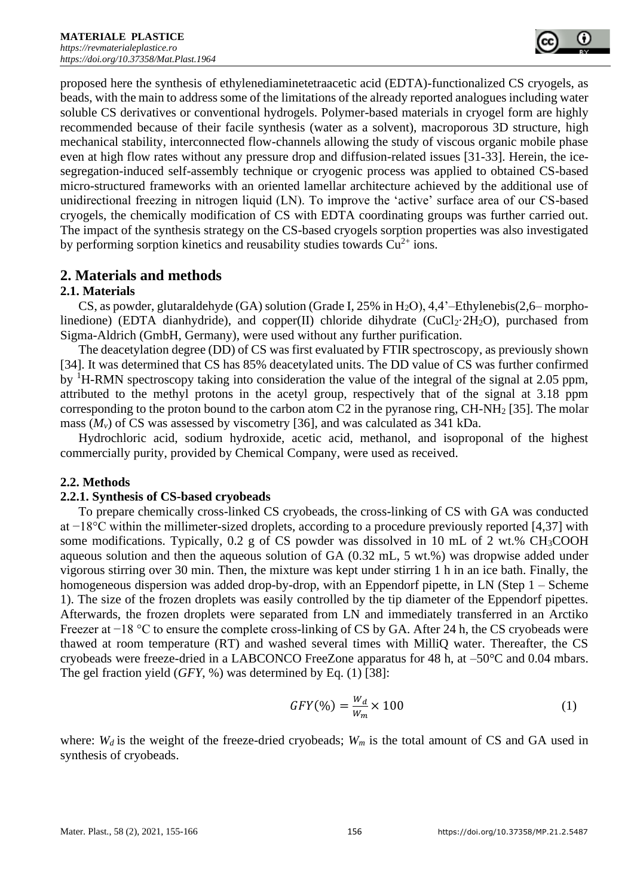proposed here the synthesis of ethylenediaminetetraacetic acid (EDTA)-functionalized CS cryogels, as beads, with the main to address some of the limitations of the already reported analogues including water soluble CS derivatives or conventional hydrogels. Polymer-based materials in cryogel form are highly recommended because of their facile synthesis (water as a solvent), macroporous 3D structure, high mechanical stability, interconnected flow-channels allowing the study of viscous organic mobile phase even at high flow rates without any pressure drop and diffusion-related issues [31-33]. Herein, the icesegregation-induced self-assembly technique or cryogenic process was applied to obtained CS-based micro-structured frameworks with an oriented lamellar architecture achieved by the additional use of unidirectional freezing in nitrogen liquid (LN). To improve the 'active' surface area of our CS-based cryogels, the chemically modification of CS with EDTA coordinating groups was further carried out. The impact of the synthesis strategy on the CS-based cryogels sorption properties was also investigated by performing sorption kinetics and reusability studies towards  $Cu^{2+}$  ions.

# **2. Materials and methods**

# **2.1. Materials**

CS, as powder, glutaraldehyde (GA) solution (Grade I, 25% in H<sub>2</sub>O), 4,4'–Ethylenebis(2,6– morpholinedione) (EDTA dianhydride), and copper(II) chloride dihydrate ( $CuCl<sub>2</sub>·2H<sub>2</sub>O$ ), purchased from Sigma-Aldrich (GmbH, Germany), were used without any further purification.

The deacetylation degree (DD) of CS was first evaluated by FTIR spectroscopy, as previously shown [34]. It was determined that CS has 85% deacetylated units. The DD value of CS was further confirmed by  ${}^{1}$ H-RMN spectroscopy taking into consideration the value of the integral of the signal at 2.05 ppm, attributed to the methyl protons in the acetyl group, respectively that of the signal at 3.18 ppm corresponding to the proton bound to the carbon atom  $C2$  in the pyranose ring, CH-NH<sub>2</sub> [35]. The molar mass  $(M_v)$  of CS was assessed by viscometry [36], and was calculated as 341 kDa.

Hydrochloric acid, sodium hydroxide, acetic acid, methanol, and isoproponal of the highest commercially purity, provided by Chemical Company, were used as received.

# **2.2. Methods**

# **2.2.1. Synthesis of CS-based cryobeads**

To prepare chemically cross-linked CS cryobeads, the cross-linking of CS with GA was conducted at −18°C within the millimeter-sized droplets, according to a procedure previously reported [4,37] with some modifications. Typically, 0.2 g of CS powder was dissolved in 10 mL of 2 wt.%  $CH<sub>3</sub>COOH$ aqueous solution and then the aqueous solution of GA (0.32 mL, 5 wt.%) was dropwise added under vigorous stirring over 30 min. Then, the mixture was kept under stirring 1 h in an ice bath. Finally, the homogeneous dispersion was added drop-by-drop, with an Eppendorf pipette, in LN (Step 1 – Scheme 1). The size of the frozen droplets was easily controlled by the tip diameter of the Eppendorf pipettes. Afterwards, the frozen droplets were separated from LN and immediately transferred in an Arctiko Freezer at −18 °C to ensure the complete cross-linking of CS by GA. After 24 h, the CS cryobeads were thawed at room temperature (RT) and washed several times with MilliQ water. Thereafter, the CS cryobeads were freeze-dried in a LABCONCO FreeZone apparatus for 48 h, at  $-50^{\circ}$ C and 0.04 mbars. The gel fraction yield (*GFY*, %) was determined by Eq. (1) [38]:

$$
GFY(\%) = \frac{W_d}{W_m} \times 100\tag{1}
$$

where:  $W_d$  is the weight of the freeze-dried cryobeads;  $W_m$  is the total amount of CS and GA used in synthesis of cryobeads.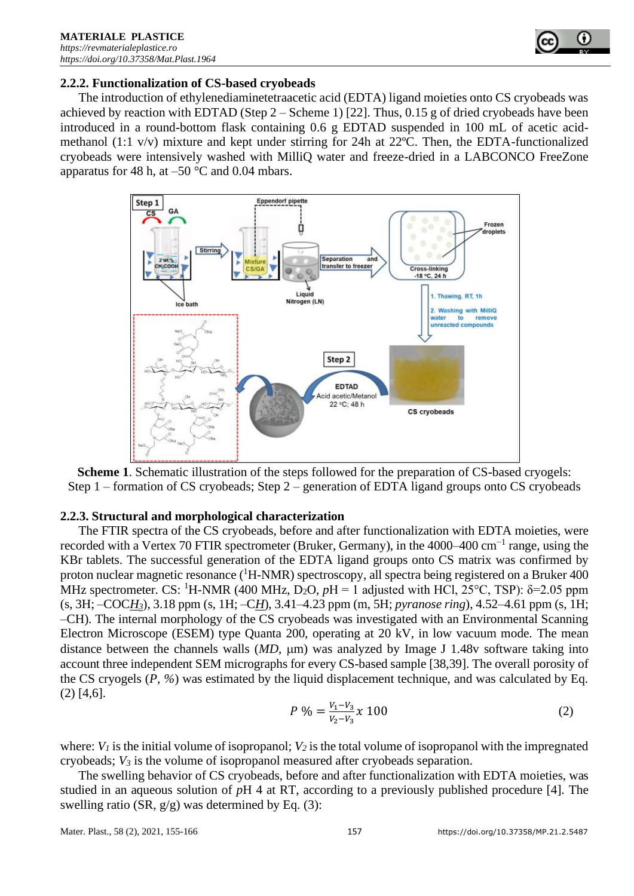

### **2.2.2. Functionalization of CS-based cryobeads**

The introduction of ethylenediaminetetraacetic acid (EDTA) ligand moieties onto CS cryobeads was achieved by reaction with EDTAD (Step  $2 -$  Scheme 1) [22]. Thus, 0.15 g of dried cryobeads have been introduced in a round-bottom flask containing 0.6 g EDTAD suspended in 100 mL of acetic acidmethanol (1:1 v/v) mixture and kept under stirring for 24h at 22ºC. Then, the EDTA-functionalized cryobeads were intensively washed with MilliQ water and freeze-dried in a LABCONCO FreeZone apparatus for 48 h, at  $-50$  °C and 0.04 mbars.



**Scheme 1**. Schematic illustration of the steps followed for the preparation of CS-based cryogels: Step 1 – formation of CS cryobeads; Step 2 – generation of EDTA ligand groups onto CS cryobeads

# **2.2.3. Structural and morphological characterization**

The FTIR spectra of the CS cryobeads, before and after functionalization with EDTA moieties, were recorded with a Vertex 70 FTIR spectrometer (Bruker, Germany), in the 4000–400 cm<sup>-1</sup> range, using the KBr tablets. The successful generation of the EDTA ligand groups onto CS matrix was confirmed by proton nuclear magnetic resonance  $({}^{1}H\text{-NMR})$  spectroscopy, all spectra being registered on a Bruker 400 MHz spectrometer. CS: <sup>1</sup>H-NMR (400 MHz, D<sub>2</sub>O,  $pH = 1$  adjusted with HCl, 25<sup>o</sup>C, TSP):  $\delta$ =2.05 ppm (s, 3H; –COC*H3*), 3.18 ppm (s, 1H; –C*H*), 3.41–4.23 ppm (m, 5H; *pyranose ring*), 4.52–4.61 ppm (s, 1H; –CH). The internal morphology of the CS cryobeads was investigated with an Environmental Scanning Electron Microscope (ESEM) type Quanta 200, operating at 20 kV, in low vacuum mode. The mean distance between the channels walls  $(MD, \mu m)$  was analyzed by Image J 1.48v software taking into account three independent SEM micrographs for every CS-based sample [38,39]. The overall porosity of the CS cryogels (*P, %*) was estimated by the liquid displacement technique, and was calculated by Eq. (2) [4,6].

$$
P\% = \frac{V_1 - V_3}{V_2 - V_3} x \ 100 \tag{2}
$$

where:  $V_I$  is the initial volume of isopropanol;  $V_2$  is the total volume of isopropanol with the impregnated cryobeads; *V<sup>3</sup>* is the volume of isopropanol measured after cryobeads separation.

The swelling behavior of CS cryobeads, before and after functionalization with EDTA moieties, was studied in an aqueous solution of *p*H 4 at RT, according to a previously published procedure [4]. The swelling ratio (SR,  $g/g$ ) was determined by Eq. (3):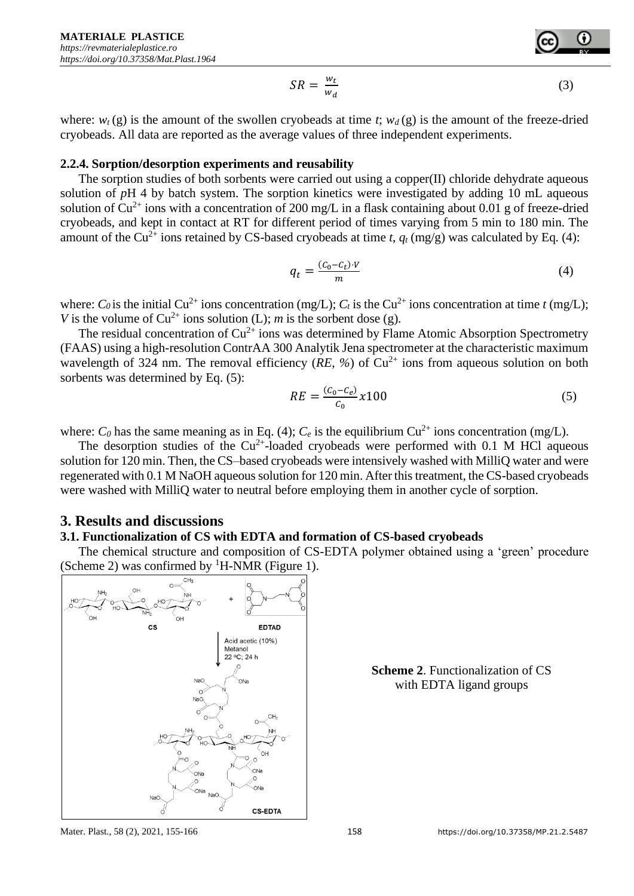$$
SR = \frac{w_t}{w_d} \tag{3}
$$

where:  $w_t(g)$  is the amount of the swollen cryobeads at time *t*;  $w_d(g)$  is the amount of the freeze-dried cryobeads. All data are reported as the average values of three independent experiments.

#### **2.2.4. Sorption/desorption experiments and reusability**

The sorption studies of both sorbents were carried out using a copper(II) chloride dehydrate aqueous solution of *pH* 4 by batch system. The sorption kinetics were investigated by adding 10 mL aqueous solution of  $Cu^{2+}$  ions with a concentration of 200 mg/L in a flask containing about 0.01 g of freeze-dried cryobeads, and kept in contact at RT for different period of times varying from 5 min to 180 min. The amount of the Cu<sup>2+</sup> ions retained by CS-based cryobeads at time *t*,  $q_t$  (mg/g) was calculated by Eq. (4):

$$
q_t = \frac{(c_0 - c_t) \cdot V}{m} \tag{4}
$$

where: *C*<sup>0</sup> is the initial Cu<sup>2+</sup> ions concentration (mg/L); *C*<sup>t</sup> is the Cu<sup>2+</sup> ions concentration at time *t* (mg/L); *V* is the volume of  $Cu^{2+}$  ions solution (L); *m* is the sorbent dose (g).

The residual concentration of  $Cu^{2+}$  ions was determined by Flame Atomic Absorption Spectrometry (FAAS) using a high-resolution ContrAA 300 Analytik Jena spectrometer at the characteristic maximum wavelength of 324 nm. The removal efficiency ( $RE, \%$ ) of  $Cu^{2+}$  ions from aqueous solution on both sorbents was determined by Eq. (5):

$$
RE = \frac{(c_0 - c_e)}{c_0} \chi 100
$$
\n(5)

where:  $C_0$  has the same meaning as in Eq. (4);  $C_e$  is the equilibrium  $Cu^{2+}$  ions concentration (mg/L).

The desorption studies of the  $Cu^{2+}$ -loaded cryobeads were performed with 0.1 M HCl aqueous solution for 120 min. Then, the CS–based cryobeads were intensively washed with MilliQ water and were regenerated with 0.1 M NaOH aqueous solution for 120 min. After this treatment, the CS-based cryobeads were washed with MilliQ water to neutral before employing them in another cycle of sorption.

# **3. Results and discussions**

#### **3.1. Functionalization of CS with EDTA and formation of CS-based cryobeads**

The chemical structure and composition of CS-EDTA polymer obtained using a 'green' procedure (Scheme 2) was confirmed by  ${}^{1}$ H-NMR (Figure 1).



**Scheme 2**. Functionalization of CS with EDTA ligand groups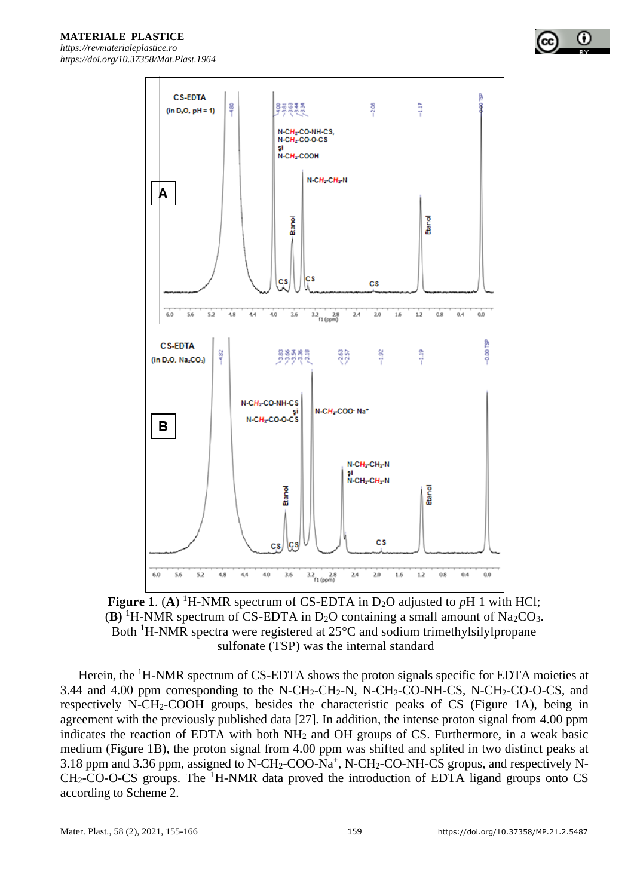**C.S.FDTA**  $-1.17$  $-480$ 858XX 2.08  $(in D<sub>2</sub>O, pH = 1)$ N-CH<sub>z</sub>-CO-NH-CS,  $N$ -CH<sub>z</sub>-CO-O-CS N-CH<sub>2</sub>COOH  $N$ -CH<sub>2</sub>-CH<sub>2</sub>-N A Etanol **Etanol** 'nз сs  $\overline{\mathsf{c}}$ s  $3.2\frac{2.8}{f1($ ppm) 6.0 40 3.6  $2.0$  $1.2$  $0.0$ 5.6  $52$ 4.8  $4.4$  $2.4$ 1.6  $0.8$  $0.4$ ĝ **CS-EDTA**  $-1.92$  $-1.19$ 8<sub>0</sub>  $-482$ 88388<br>DODO 2.63 (in D<sub>2</sub>O, Na<sub>2</sub>CO<sub>3</sub>) N-CH<sub>z</sub>-CO-NH-CS N-CH<sub>2</sub>-COO<sup>-</sup> Na\* si<br>N-CH<sub>2</sub>-CO-O-CS в  $N$ -CH<sub>z</sub>-CH<sub>z</sub>-N  $N$ -CH<sub>z</sub>-CH<sub>z-</sub>N Etanol Etanol  $\overline{c}$ s CS) **CS**  $3.6$  $0.0$  $6.0$  $5.6$  $44$  $40$  $20$  $\overline{12}$  $0.8$ 5.2  $4.8$  $3.2$   $2.8$ <br>f1 (ppm)  $2.4$ 1.6  $0.4$ 

**Figure 1.** (A) <sup>1</sup>H-NMR spectrum of CS-EDTA in D<sub>2</sub>O adjusted to  $pH$  1 with HCl; **(B)** <sup>1</sup>H-NMR spectrum of CS-EDTA in D<sub>2</sub>O containing a small amount of Na<sub>2</sub>CO<sub>3</sub>. Both <sup>1</sup>H-NMR spectra were registered at 25°C and sodium trimethylsilylpropane sulfonate (TSP) was the internal standard

Herein, the <sup>1</sup>H-NMR spectrum of CS-EDTA shows the proton signals specific for EDTA moieties at 3.44 and 4.00 ppm corresponding to the N-CH<sub>2</sub>-CH<sub>2</sub>-N, N-CH<sub>2</sub>-CO-NH-CS, N-CH<sub>2</sub>-CO-O-CS, and respectively N-CH2-COOH groups, besides the characteristic peaks of CS (Figure 1A), being in agreement with the previously published data [27]. In addition, the intense proton signal from 4.00 ppm indicates the reaction of EDTA with both NH<sup>2</sup> and OH groups of CS. Furthermore, in a weak basic medium (Figure 1B), the proton signal from 4.00 ppm was shifted and splited in two distinct peaks at 3.18 ppm and 3.36 ppm, assigned to N-CH<sub>2</sub>-COO-Na<sup>+</sup>, N-CH<sub>2</sub>-CO-NH-CS gropus, and respectively N- $CH<sub>2</sub>-CO-O-CS$  groups. The <sup>1</sup>H-NMR data proved the introduction of EDTA ligand groups onto CS according to Scheme 2.

0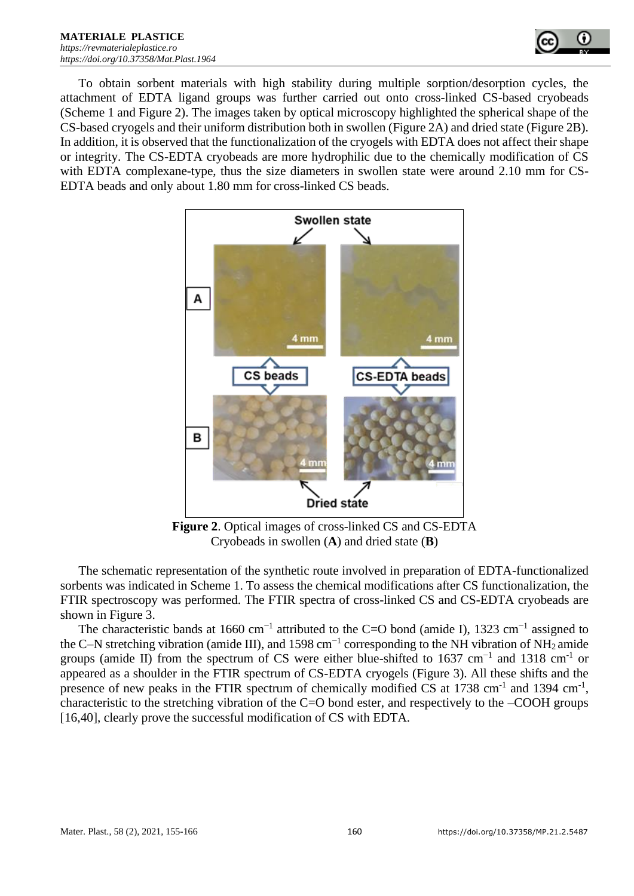

To obtain sorbent materials with high stability during multiple sorption/desorption cycles, the attachment of EDTA ligand groups was further carried out onto cross-linked CS-based cryobeads (Scheme 1 and Figure 2). The images taken by optical microscopy highlighted the spherical shape of the CS-based cryogels and their uniform distribution both in swollen (Figure 2A) and dried state (Figure 2B). In addition, it is observed that the functionalization of the cryogels with EDTA does not affect their shape or integrity. The CS-EDTA cryobeads are more hydrophilic due to the chemically modification of CS with EDTA complexane-type, thus the size diameters in swollen state were around 2.10 mm for CS-EDTA beads and only about 1.80 mm for cross-linked CS beads.



**Figure 2**. Optical images of cross-linked CS and CS-EDTA Cryobeads in swollen (**A**) and dried state (**B**)

The schematic representation of the synthetic route involved in preparation of EDTA-functionalized sorbents was indicated in Scheme 1. To assess the chemical modifications after CS functionalization, the FTIR spectroscopy was performed. The FTIR spectra of cross-linked CS and CS-EDTA cryobeads are shown in Figure 3.

The characteristic bands at 1660 cm<sup>-1</sup> attributed to the C=O bond (amide I), 1323 cm<sup>-1</sup> assigned to the C–N stretching vibration (amide III), and 1598 cm<sup>-1</sup> corresponding to the NH vibration of NH<sub>2</sub> amide groups (amide II) from the spectrum of CS were either blue-shifted to 1637 cm<sup>-1</sup> and 1318 cm<sup>-1</sup> or appeared as a shoulder in the FTIR spectrum of CS-EDTA cryogels (Figure 3). All these shifts and the presence of new peaks in the FTIR spectrum of chemically modified CS at  $1738 \text{ cm}^{-1}$  and  $1394 \text{ cm}^{-1}$ , characteristic to the stretching vibration of the C=O bond ester, and respectively to the –COOH groups [16,40], clearly prove the successful modification of CS with EDTA.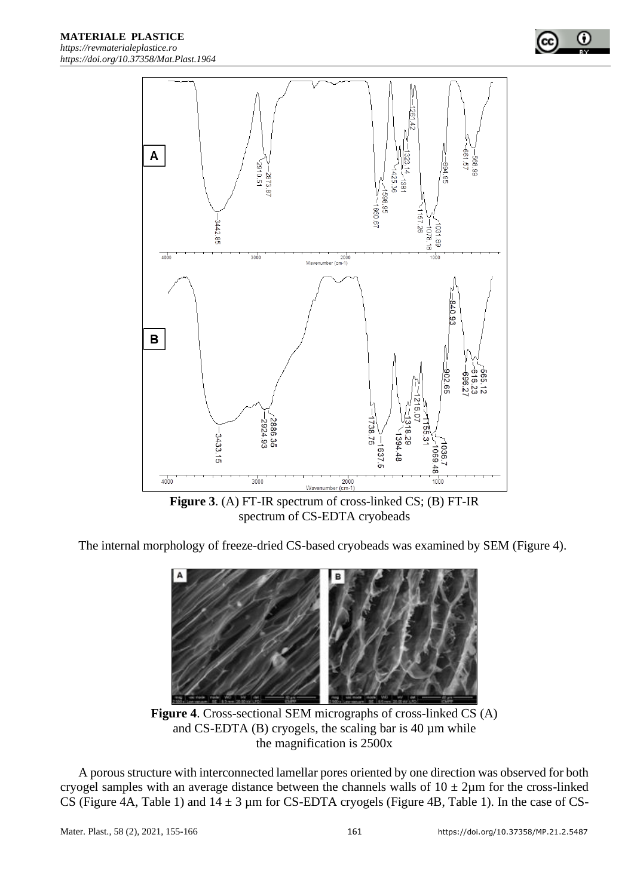

**Figure 3**. (A) FT-IR spectrum of cross-linked CS; (B) FT-IR spectrum of CS-EDTA cryobeads

The internal morphology of freeze-dried CS-based cryobeads was examined by SEM (Figure 4).



**Figure 4**. Cross-sectional SEM micrographs of cross-linked CS (A) and CS-EDTA  $(B)$  cryogels, the scaling bar is 40  $\mu$ m while the magnification is 2500x

A porous structure with interconnected lamellar pores oriented by one direction was observed for both cryogel samples with an average distance between the channels walls of  $10 \pm 2\mu$ m for the cross-linked CS (Figure 4A, Table 1) and  $14 \pm 3$  µm for CS-EDTA cryogels (Figure 4B, Table 1). In the case of CS-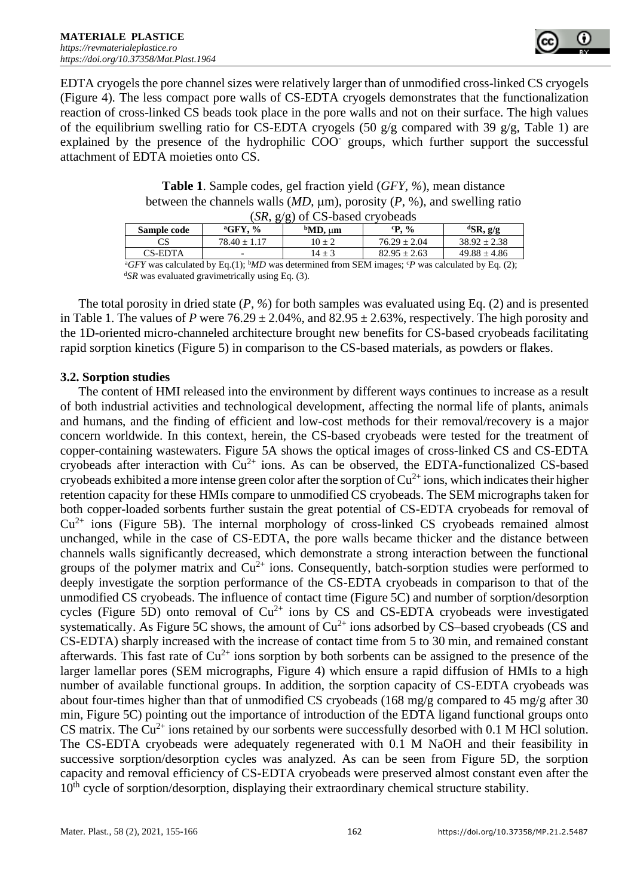

EDTA cryogels the pore channel sizes were relatively larger than of unmodified cross-linked CS cryogels (Figure 4). The less compact pore walls of CS-EDTA cryogels demonstrates that the functionalization reaction of cross-linked CS beads took place in the pore walls and not on their surface. The high values of the equilibrium swelling ratio for CS-EDTA cryogels (50 g/g compared with 39 g/g, Table 1) are explained by the presence of the hydrophilic COO<sup>-</sup> groups, which further support the successful attachment of EDTA moieties onto CS.

**Table 1**. Sample codes, gel fraction yield (*GFY, %*), mean distance between the channels walls  $(MD, \mu m)$ , porosity  $(P, %)$ , and swelling ratio (*SR*, g/g) of CS-based cryobeads

| $(M, g/g)$ of $C5$ -based of youcaus                                                                                   |                       |                 |                 |                               |  |  |  |  |
|------------------------------------------------------------------------------------------------------------------------|-----------------------|-----------------|-----------------|-------------------------------|--|--|--|--|
| Sample code                                                                                                            | $\mathrm{^{a}GFY,}$ % | $bMD$ , $\mu$ m | $\mathrm{P.}$ % | ${}^{\text{d}}\text{SR}, g/g$ |  |  |  |  |
|                                                                                                                        | $78.40 + 1.17$        | $10 + 2$        | $76.29 + 2.04$  | $38.92 + 2.38$                |  |  |  |  |
| CS-EDTA                                                                                                                |                       | $14 + 3$        | $82.95 + 2.63$  | $49.88 \pm 4.86$              |  |  |  |  |
| ${}^{a}CFV$ was calculated by Eq. (1), ${}^{b}MD$ was determined from SEM images: ${}^{c}D$ was calculated by Eq. (2). |                       |                 |                 |                               |  |  |  |  |

*GFY* was calculated by Eq.(1);  $bMD$  was determined from SEM images;  $cP$  was calculated by Eq. (2); <sup>d</sup>SR was evaluated gravimetrically using Eq. (3).

The total porosity in dried state (*P, %*) for both samples was evaluated using Eq. (2) and is presented in Table 1. The values of *P* were  $76.29 \pm 2.04\%$ , and  $82.95 \pm 2.63\%$ , respectively. The high porosity and the 1D-oriented micro-channeled architecture brought new benefits for CS-based cryobeads facilitating rapid sorption kinetics (Figure 5) in comparison to the CS-based materials, as powders or flakes.

### **3.2. Sorption studies**

The content of HMI released into the environment by different ways continues to increase as a result of both industrial activities and technological development, affecting the normal life of plants, animals and humans, and the finding of efficient and low-cost methods for their removal/recovery is a major concern worldwide. In this context, herein, the CS-based cryobeads were tested for the treatment of copper-containing wastewaters. Figure 5A shows the optical images of cross-linked CS and CS-EDTA cryobeads after interaction with  $Cu^{2+}$  ions. As can be observed, the EDTA-functionalized CS-based cryobeads exhibited a more intense green color after the sorption of  $Cu^{2+}$  ions, which indicates their higher retention capacity for these HMIs compare to unmodified CS cryobeads. The SEM micrographs taken for both copper-loaded sorbents further sustain the great potential of CS-EDTA cryobeads for removal of  $Cu<sup>2+</sup>$  ions (Figure 5B). The internal morphology of cross-linked CS cryobeads remained almost unchanged, while in the case of CS-EDTA, the pore walls became thicker and the distance between channels walls significantly decreased, which demonstrate a strong interaction between the functional groups of the polymer matrix and  $Cu^{2+}$  ions. Consequently, batch-sorption studies were performed to deeply investigate the sorption performance of the CS-EDTA cryobeads in comparison to that of the unmodified CS cryobeads. The influence of contact time (Figure 5C) and number of sorption/desorption cycles (Figure 5D) onto removal of  $Cu^{2+}$  ions by CS and CS-EDTA cryobeads were investigated systematically. As Figure 5C shows, the amount of  $Cu^{2+}$  ions adsorbed by CS–based cryobeads (CS and CS-EDTA) sharply increased with the increase of contact time from 5 to 30 min, and remained constant afterwards. This fast rate of  $Cu^{2+}$  ions sorption by both sorbents can be assigned to the presence of the larger lamellar pores (SEM micrographs, Figure 4) which ensure a rapid diffusion of HMIs to a high number of available functional groups. In addition, the sorption capacity of CS-EDTA cryobeads was about four-times higher than that of unmodified CS cryobeads (168 mg/g compared to 45 mg/g after 30 min, Figure 5C) pointing out the importance of introduction of the EDTA ligand functional groups onto CS matrix. The  $Cu^{2+}$  ions retained by our sorbents were successfully desorbed with 0.1 M HCl solution. The CS-EDTA cryobeads were adequately regenerated with 0.1 M NaOH and their feasibility in successive sorption/desorption cycles was analyzed. As can be seen from Figure 5D, the sorption capacity and removal efficiency of CS-EDTA cryobeads were preserved almost constant even after the  $10<sup>th</sup>$  cycle of sorption/desorption, displaying their extraordinary chemical structure stability.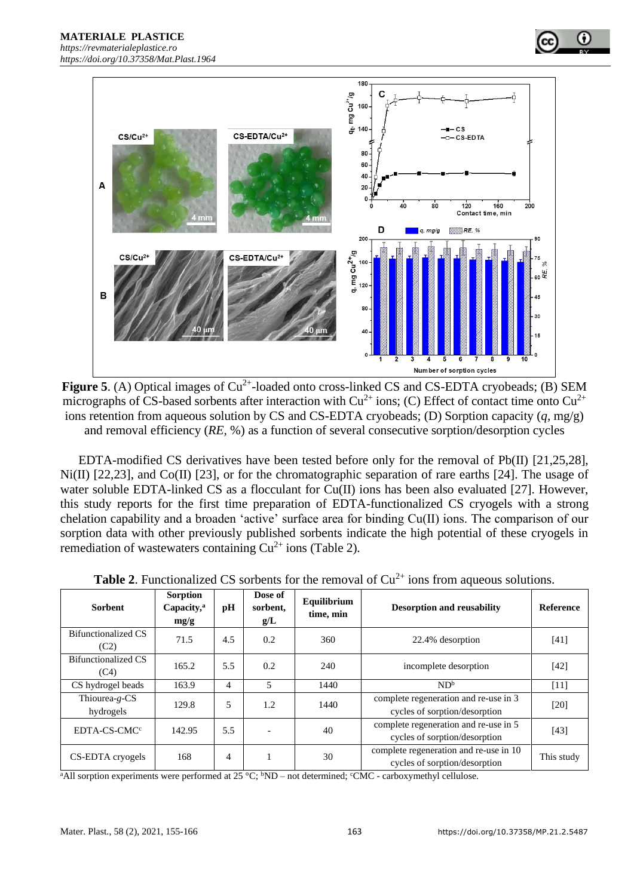



EDTA-modified CS derivatives have been tested before only for the removal of Pb(II) [21,25,28], Ni(II) [22,23], and Co(II) [23], or for the chromatographic separation of rare earths [24]. The usage of water soluble EDTA-linked CS as a flocculant for Cu(II) ions has been also evaluated [27]. However, this study reports for the first time preparation of EDTA-functionalized CS cryogels with a strong chelation capability and a broaden 'active' surface area for binding Cu(II) ions. The comparison of our sorption data with other previously published sorbents indicate the high potential of these cryogels in remediation of wastewaters containing  $Cu^{2+}$  ions (Table 2).

| <b>Table 2.</b> Functionalized CS sorbents for the removal of $Cu^{2+}$ ions from aqueous solutions. |                                                   |                |                            |                          |                                                                         |                  |  |  |  |
|------------------------------------------------------------------------------------------------------|---------------------------------------------------|----------------|----------------------------|--------------------------|-------------------------------------------------------------------------|------------------|--|--|--|
| <b>Sorbent</b>                                                                                       | <b>Sorption</b><br>Capacity, <sup>a</sup><br>mg/g | pH             | Dose of<br>sorbent,<br>g/L | Equilibrium<br>time, min | <b>Desorption and reusability</b>                                       | <b>Reference</b> |  |  |  |
| <b>Bifunctionalized CS</b><br>(C2)                                                                   | 71.5                                              | 4.5            | 0.2                        | 360                      | 22.4% desorption                                                        | [41]             |  |  |  |
| Bifunctionalized CS<br>(C4)                                                                          | 165.2                                             | 5.5            | 0.2                        | 240                      | incomplete desorption                                                   | [42]             |  |  |  |
| CS hydrogel beads                                                                                    | 163.9                                             | $\overline{4}$ | 5                          | 1440                     | ND <sup>b</sup>                                                         | [11]             |  |  |  |
| Thiourea-g-CS<br>hydrogels                                                                           | 129.8                                             | 5              | 1.2                        | 1440                     | complete regeneration and re-use in 3<br>cycles of sorption/desorption  | $[20]$           |  |  |  |
| EDTA-CS-CMC <sup>c</sup>                                                                             | 142.95                                            | 5.5            |                            | 40                       | complete regeneration and re-use in 5<br>cycles of sorption/desorption  | [43]             |  |  |  |
| CS-EDTA cryogels                                                                                     | 168                                               | $\overline{4}$ |                            | 30                       | complete regeneration and re-use in 10<br>cycles of sorption/desorption | This study       |  |  |  |

| в                                                                                                         |                           |  |  |  |  |  |  |  |  |
|-----------------------------------------------------------------------------------------------------------|---------------------------|--|--|--|--|--|--|--|--|
|                                                                                                           | Number of sorption cycles |  |  |  |  |  |  |  |  |
| <b>gure 5.</b> (A) Optical images of $Cu^{2+}$ -loaded onto cross-linked CS and CS-EDTA cryobeads; (B) SE |                           |  |  |  |  |  |  |  |  |
| crographs of CS-based sorbents after interaction with $Cu^{2+}$ ions; (C) Effect of contact time onto Cu  |                           |  |  |  |  |  |  |  |  |

mg Cu<sup>2+</sup>/g<br>160  $\div$  140  $c<sub>s</sub>$ CS-EDTA/Cu<sup>2+</sup>  $CS/Cu^{2+}$ CS-EDTA 80 60  $40$  $\overline{A}$  $20$  $\overline{a}$  $40$  $\overline{80}$  $120$  $160$  $\overline{200}$ Contact time, min mm D  $VIII/AB$  RE. %  $q.$  mg/g 200  $CS/Cu^{2+}$ CS-EDTA/Cu<sup>2</sup> ั้ง

180

C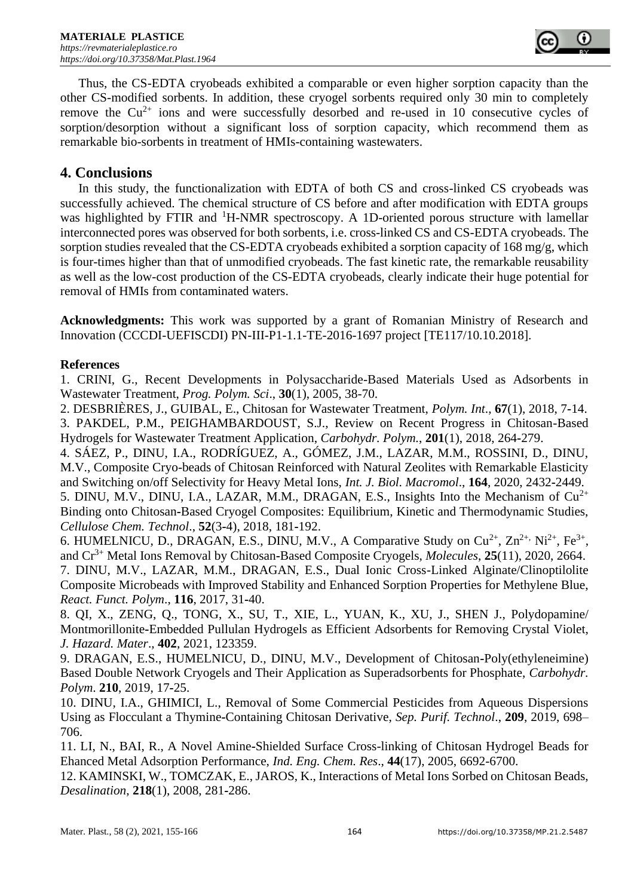

Thus, the CS-EDTA cryobeads exhibited a comparable or even higher sorption capacity than the other CS-modified sorbents. In addition, these cryogel sorbents required only 30 min to completely remove the  $Cu^{2+}$  ions and were successfully desorbed and re-used in 10 consecutive cycles of sorption/desorption without a significant loss of sorption capacity, which recommend them as remarkable bio-sorbents in treatment of HMIs-containing wastewaters.

# **4. Conclusions**

In this study, the functionalization with EDTA of both CS and cross-linked CS cryobeads was successfully achieved. The chemical structure of CS before and after modification with EDTA groups was highlighted by FTIR and <sup>1</sup>H-NMR spectroscopy. A 1D-oriented porous structure with lamellar interconnected pores was observed for both sorbents, i.e. cross-linked CS and CS-EDTA cryobeads. The sorption studies revealed that the CS-EDTA cryobeads exhibited a sorption capacity of 168 mg/g, which is four-times higher than that of unmodified cryobeads. The fast kinetic rate, the remarkable reusability as well as the low-cost production of the CS-EDTA cryobeads, clearly indicate their huge potential for removal of HMIs from contaminated waters.

**Acknowledgments:** This work was supported by a grant of Romanian Ministry of Research and Innovation (CCCDI-UEFISCDI) PN-III-P1-1.1-TE-2016-1697 project [TE117/10.10.2018].

# **References**

1. CRINI, G., Recent Developments in Polysaccharide-Based Materials Used as Adsorbents in Wastewater Treatment, *Prog. Polym. Sci*., **30**(1), 2005, 38-70.

2. DESBRIÈRES, J., GUIBAL, E., Chitosan for Wastewater Treatment, *Polym. Int*., **67**(1), 2018, 7**-**14. 3. PAKDEL, P.M., PEIGHAMBARDOUST, S.J., Review on Recent Progress in Chitosan-Based Hydrogels for Wastewater Treatment Application, *Carbohydr. Polym.*, **201**(1), 2018, 264**-**279.

4. SÁEZ, P., DINU, I.A., RODRÍGUEZ, A., GÓMEZ, J.M., LAZAR, M.M., ROSSINI, D., DINU, M.V., Composite Cryo-beads of Chitosan Reinforced with Natural Zeolites with Remarkable Elasticity and Switching on/off Selectivity for Heavy Metal Ions, *Int. J. Biol. Macromol*., **164**, 2020, 2432**-**2449. 5. DINU, M.V., DINU, I.A., LAZAR, M.M., DRAGAN, E.S., Insights Into the Mechanism of  $Cu^{2+}$ 

Binding onto Chitosan**-**Based Cryogel Composites: Equilibrium, Kinetic and Thermodynamic Studies, *Cellulose Chem. Technol*., **52**(3**-**4), 2018, 181**-**192.

6. HUMELNICU, D., DRAGAN, E.S., DINU, M.V., A Comparative Study on  $Cu^{2+}$ ,  $Zn^{2+}$ ,  $Ni^{2+}$ ,  $Fe^{3+}$ , and Cr3+ Metal Ions Removal by Chitosan**-**Based Composite Cryogels, *Molecules*, **25**(11), 2020, 2664. 7. DINU, M.V., LAZAR, M.M., DRAGAN, E.S., Dual Ionic Cross-Linked Alginate/Clinoptilolite Composite Microbeads with Improved Stability and Enhanced Sorption Properties for Methylene Blue, *React. Funct. Polym*., **116**, 2017, 31**-**40.

8. QI, [X.,](https://www.sciencedirect.com/science/article/pii/S0304389420313480#!) ZENG, [Q., T](https://www.sciencedirect.com/science/article/pii/S0304389420313480#!)ONG, [X., S](https://www.sciencedirect.com/science/article/pii/S0304389420313480#!)U, [T., X](https://www.sciencedirect.com/science/article/pii/S0304389420313480#!)IE, [L., Y](https://www.sciencedirect.com/science/article/pii/S0304389420313480#!)UAN, K., [XU, J., S](https://www.sciencedirect.com/science/article/pii/S0304389420313480#!)HEN [J., P](https://www.sciencedirect.com/science/article/pii/S0304389420313480#!)olydopamine/ Montmorillonite**-**Embedded Pullulan Hydrogels as Efficient Adsorbents for Removing Crystal Violet, *J. Hazard. Mater*., **402**, 2021, 123359.

9. DRAGAN, E.S., HUMELNICU, D., DINU, M.V., Development of Chitosan**-**Poly(ethyleneimine) Based Double Network Cryogels and Their Application as Superadsorbents for Phosphate, *Carbohydr. Polym*. **210**, 2019, 17**-**25.

10. DINU, I.A., GHIMICI, L., Removal of Some Commercial Pesticides from Aqueous Dispersions Using as Flocculant a Thymine**-**Containing Chitosan Derivative, *Sep. Purif. Technol*., **209**, 2019, 698– 706.

11. LI, N., BAI, R., A Novel Amine**-**Shielded Surface Cross-linking of Chitosan Hydrogel Beads for Ehanced Metal Adsorption Performance, *Ind. Eng. Chem. Res*., **44**(17), 2005, 6692-6700.

12. KAMINSKI, W., TOMCZAK, E., JAROS, K., Interactions of Metal Ions Sorbed on Chitosan Beads, *Desalination*, **218**(1), 2008, 281**-**286.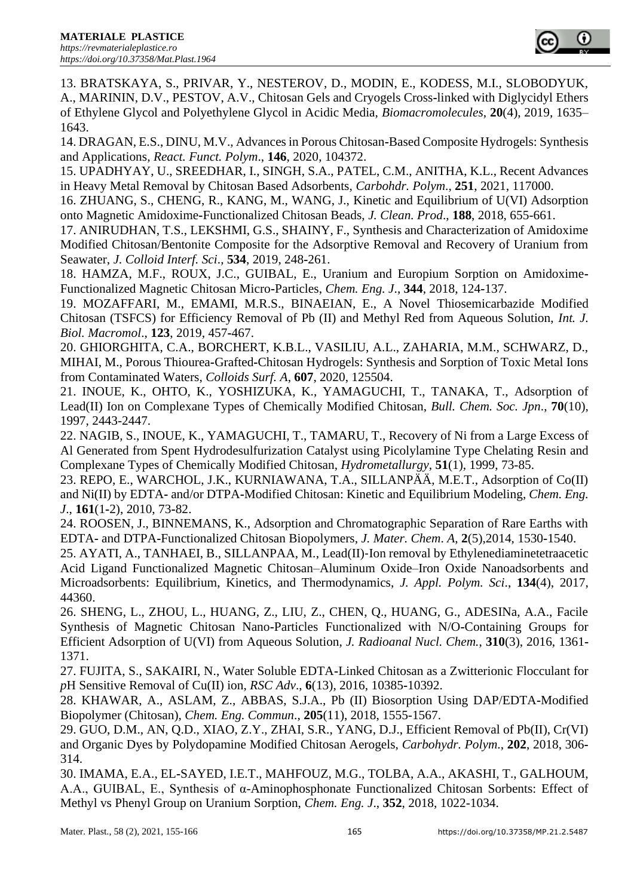

13. BRATSKAYA, S., PRIVAR, Y., NESTEROV, D., MODIN, E., KODESS, M.I., SLOBODYUK, A., MARININ, D.V., PESTOV, A.V., Chitosan Gels and Cryogels Cross**-**linked with Diglycidyl Ethers of Ethylene Glycol and Polyethylene Glycol in Acidic Media, *Biomacromolecules*, **20**(4), 2019, 1635– 1643.

14. DRAGAN, E.S., DINU, M.V., Advances in Porous Chitosan**-**Based Composite Hydrogels: Synthesis and Applications*, React. Funct. Polym*., **146**, 2020, 104372.

15. UPADHYAY, [U., S](https://www.sciencedirect.com/science/article/pii/S0144861720311735#!)REEDHAR, I., SINGH, [S.A., P](https://www.sciencedirect.com/science/article/pii/S0144861720311735#!)ATEL, [C.M., A](https://www.sciencedirect.com/science/article/pii/S0144861720311735#!)NITHA, [K.L., R](https://www.sciencedirect.com/science/article/pii/S0144861720311735#!)ecent Advances in Heavy Metal Removal by Chitosan Based Adsorbents, *Carbohdr. Polym*., **251**, 2021, 117000.

16. ZHUANG, S., CHENG, R., KANG, M., WANG, J., Kinetic and Equilibrium of U(VI) Adsorption onto Magnetic Amidoxime**-**Functionalized Chitosan Beads, *J. Clean. Prod*., **188**, 2018, 655-661.

17. ANIRUDHAN, T.S., LEKSHMI, G.S., SHAINY, F., Synthesis and Characterization of Amidoxime Modified Chitosan/Bentonite Composite for the Adsorptive Removal and Recovery of Uranium from Seawater, *J. Colloid Interf. Sci*., **534**, 2019, 248**-**261.

18. HAMZA, M.F., ROUX, J.C., GUIBAL, E., Uranium and Europium Sorption on Amidoxime**-**Functionalized Magnetic Chitosan Micro**-**Particles, *Chem. Eng. J*., **344**, 2018, 124**-**137.

19. MOZAFFARI, M., EMAMI, M.R.S., BINAEIAN, E., A Novel Thiosemicarbazide Modified Chitosan (TSFCS) for Efficiency Removal of Pb (II) and Methyl Red from Aqueous Solution, *Int. J. Biol. Macromol*., **123**, 2019, 457**-**467.

20. GHIORGHITA, C.A., BORCHERT, K.B.L., VASILIU, A.L., ZAHARIA, M.M., SCHWARZ, D., MIHAI, M., Porous Thiourea**-**Grafted**-**Chitosan Hydrogels: Synthesis and Sorption of Toxic Metal Ions from Contaminated Waters, *Colloids Surf. A*, **607**, 2020, 125504.

21. INOUE, K., OHTO, K., YOSHIZUKA, K., YAMAGUCHI, T., TANAKA, T., Adsorption of Lead(II) Ion on Complexane Types of Chemically Modified Chitosan, *Bull. Chem. Soc. Jpn*., **70**(10), 1997, 2443-2447.

22. NAGIB, S., INOUE, K., YAMAGUCHI, T., TAMARU, T., Recovery of Ni from a Large Excess of Al Generated from Spent Hydrodesulfurization Catalyst using Picolylamine Type Chelating Resin and Complexane Types of Chemically Modified Chitosan, *Hydrometallurgy*, **51**(1), 1999, 73-85.

23. REPO, E., WARCHOL, J.K., KURNIAWANA, T.A., SILLANPÄÄ, M.E.T., Adsorption of Co(II) and Ni(II) by EDTA**-** and/or DTPA**-**Modified Chitosan: Kinetic and Equilibrium Modeling, *Chem. Eng. J*., **161**(1**-**2), 2010, 73**-**82.

24. ROOSEN, J., BINNEMANS, K., Adsorption and Chromatographic Separation of Rare Earths with EDTA**-** and DTPA**-**Functionalized Chitosan Biopolymers, *J. Mater. Chem*. *A*, **2**(5),2014, 1530**-**1540.

25. AYATI, A., TANHAEI, B., SILLANPAA, M., Lead(II)‐Ion removal by Ethylenediaminetetraacetic Acid Ligand Functionalized Magnetic Chitosan–Aluminum Oxide–Iron Oxide Nanoadsorbents and Microadsorbents: Equilibrium, Kinetics, and Thermodynamics, *J. Appl. Polym. Sci*., **134**(4), 2017, 44360.

26. SHENG, L., ZHOU, L., HUANG, Z., LIU, Z., CHEN, Q., HUANG, G., ADESINa, A.A., Facile Synthesis of Magnetic Chitosan Nano**-**Particles Functionalized with N/O**-**Containing Groups for Efficient Adsorption of U(VI) from Aqueous Solution, *J. Radioanal Nucl. Chem.*, **310**(3), 2016, 1361**-** 1371.

27. FUJITA, S., SAKAIRI, N., Water Soluble EDTA**-**Linked Chitosan as a Zwitterionic Flocculant for *p*H Sensitive Removal of Cu(II) ion, *RSC Adv*., **6**(13), 2016, 10385**-**10392.

28. KHAWAR, A., ASLAM, Z., ABBAS, S.J.A., Pb (II) Biosorption Using DAP/EDTA**-**Modified Biopolymer (Chitosan), *Chem. Eng. Commun*., **205**(11), 2018, 1555-1567.

29. GUO, D.M., AN, Q.D., XIAO, Z.Y., ZHAI, S.R., YANG, D.J., Efficient Removal of Pb(II), Cr(VI) and Organic Dyes by Polydopamine Modified Chitosan Aerogels, *Carbohydr. Polym*., **202**, 2018, 306**-** 314.

30. IMAMA, E.A., EL**-**SAYED, I.E.T., MAHFOUZ, M.G., TOLBA, A.A., AKASHI, T., GALHOUM, A.A., GUIBAL, E., Synthesis of α-Aminophosphonate Functionalized Chitosan Sorbents: Effect of Methyl vs Phenyl Group on Uranium Sorption, *Chem. Eng. J*., **352**, 2018, 1022-1034.